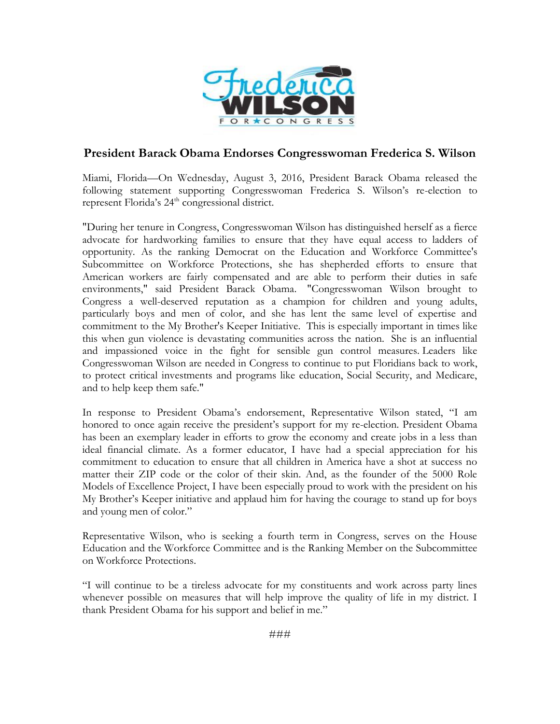

## **President Barack Obama Endorses Congresswoman Frederica S. Wilson**

Miami, Florida—On Wednesday, August 3, 2016, President Barack Obama released the following statement supporting Congresswoman Frederica S. Wilson's re-election to represent Florida's 24<sup>th</sup> congressional district.

"During her tenure in Congress, Congresswoman Wilson has distinguished herself as a fierce advocate for hardworking families to ensure that they have equal access to ladders of opportunity. As the ranking Democrat on the Education and Workforce Committee's Subcommittee on Workforce Protections, she has shepherded efforts to ensure that American workers are fairly compensated and are able to perform their duties in safe environments," said President Barack Obama. "Congresswoman Wilson brought to Congress a well-deserved reputation as a champion for children and young adults, particularly boys and men of color, and she has lent the same level of expertise and commitment to the My Brother's Keeper Initiative. This is especially important in times like this when gun violence is devastating communities across the nation. She is an influential and impassioned voice in the fight for sensible gun control measures. Leaders like Congresswoman Wilson are needed in Congress to continue to put Floridians back to work, to protect critical investments and programs like education, Social Security, and Medicare, and to help keep them safe."

In response to President Obama's endorsement, Representative Wilson stated, "I am honored to once again receive the president's support for my re-election. President Obama has been an exemplary leader in efforts to grow the economy and create jobs in a less than ideal financial climate. As a former educator, I have had a special appreciation for his commitment to education to ensure that all children in America have a shot at success no matter their ZIP code or the color of their skin. And, as the founder of the 5000 Role Models of Excellence Project, I have been especially proud to work with the president on his My Brother's Keeper initiative and applaud him for having the courage to stand up for boys and young men of color."

Representative Wilson, who is seeking a fourth term in Congress, serves on the House Education and the Workforce Committee and is the Ranking Member on the Subcommittee on Workforce Protections.

"I will continue to be a tireless advocate for my constituents and work across party lines whenever possible on measures that will help improve the quality of life in my district. I thank President Obama for his support and belief in me."